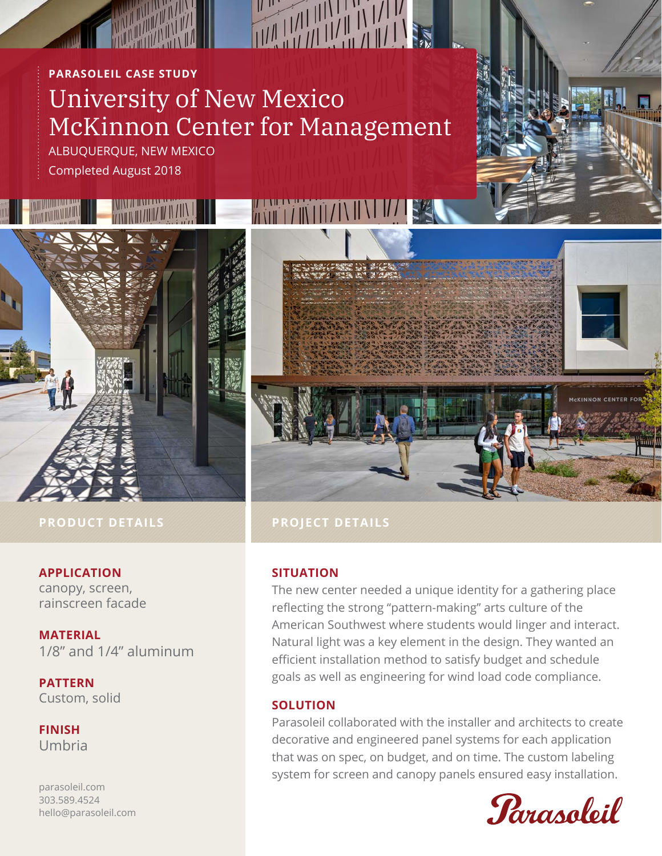# **PARASOLEIL CASE STUDY** University of New Mexico McKinnon Center for Management

ALBUQUERQUE, NEW MEXICO Completed August 2018



# **PRODUCT DETAILS PROJECT DETAILS**

# **APPLICATION**

canopy, screen, rainscreen facade

**MATERIAL** 1/8" and 1/4" aluminum

**PATTERN** Custom, solid

**FINISH** Umbria

parasoleil.com 303.589.4524 hello@parasoleil.com



# **SITUATION**

The new center needed a unique identity for a gathering place reflecting the strong "pattern-making" arts culture of the American Southwest where students would linger and interact. Natural light was a key element in the design. They wanted an efficient installation method to satisfy budget and schedule goals as well as engineering for wind load code compliance.

# **SOLUTION**

Parasoleil collaborated with the installer and architects to create decorative and engineered panel systems for each application that was on spec, on budget, and on time. The custom labeling system for screen and canopy panels ensured easy installation.